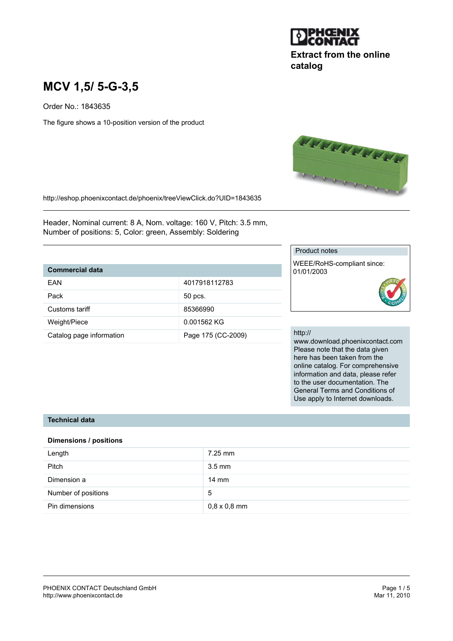

## **Extract from the online catalog**

# **MCV 1,5/ 5-G-3,5**

Order No.: 1843635

The figure shows a 10-position version of the product



http://eshop.phoenixcontact.de/phoenix/treeViewClick.do?UID=1843635

Header, Nominal current: 8 A, Nom. voltage: 160 V, Pitch: 3.5 mm, Number of positions: 5, Color: green, Assembly: Soldering

## **Commercial data**

| FAN                      | 4017918112783      |
|--------------------------|--------------------|
|                          |                    |
| Pack                     | 50 pcs.            |
| Customs tariff           | 85366990           |
|                          |                    |
| Weight/Piece             | 0.001562 KG        |
| Catalog page information | Page 175 (CC-2009) |

#### Product notes

WEEE/RoHS-compliant since: 01/01/2003

#### http://

www.download.phoenixcontact.com Please note that the data given here has been taken from the online catalog. For comprehensive information and data, please refer to the user documentation. The General Terms and Conditions of Use apply to Internet downloads.

## **Technical data**

#### **Dimensions / positions**

| Length              | $7.25$ mm           |
|---------------------|---------------------|
| <b>Pitch</b>        | $3.5 \text{ mm}$    |
| Dimension a         | $14 \text{ mm}$     |
| Number of positions | 5                   |
| Pin dimensions      | $0,8 \times 0,8$ mm |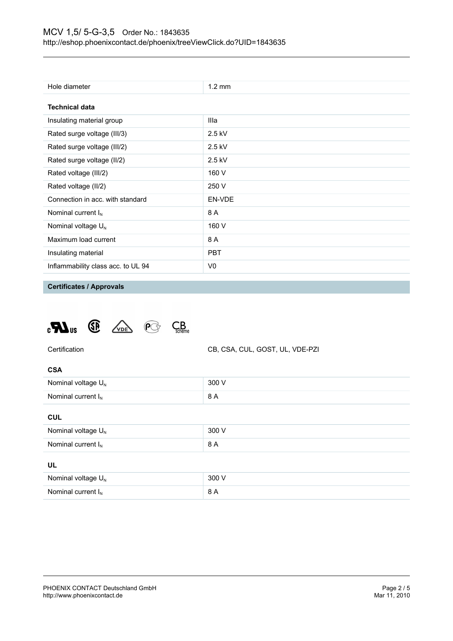| Hole diameter                      | $1.2 \text{ mm}$ |  |
|------------------------------------|------------------|--|
| <b>Technical data</b>              |                  |  |
| Insulating material group          | Illa             |  |
| Rated surge voltage (III/3)        | $2.5$ kV         |  |
| Rated surge voltage (III/2)        | $2.5$ kV         |  |
| Rated surge voltage (II/2)         | $2.5$ kV         |  |
| Rated voltage (III/2)              | 160 V            |  |
| Rated voltage (II/2)               | 250 V            |  |
| Connection in acc. with standard   | EN-VDE           |  |
| Nominal current $I_N$              | 8 A              |  |
| Nominal voltage $U_N$              | 160 V            |  |
| Maximum load current               | 8 A              |  |
| Insulating material                | <b>PBT</b>       |  |
| Inflammability class acc. to UL 94 | V0               |  |

**Certificates / Approvals**





| × |  |
|---|--|

| Nominal voltage $U_N$   | 300 V |
|-------------------------|-------|
| Nominal current $I_{N}$ | 8 A   |
|                         |       |

#### **CUL**

| Nominal voltage $U_N$ | 300 V |  |
|-----------------------|-------|--|
| Nominal current $I_N$ | 8 A   |  |
| UL                    |       |  |
| Nominal voltage $U_N$ | 300 V |  |
| Nominal current $I_N$ | 8 A   |  |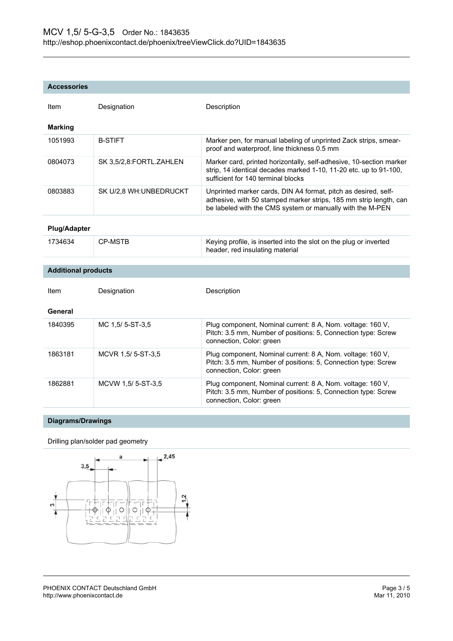#### **Accessories**

| Item                       | Designation             | Description                                                                                                                                                                                      |
|----------------------------|-------------------------|--------------------------------------------------------------------------------------------------------------------------------------------------------------------------------------------------|
| <b>Marking</b>             |                         |                                                                                                                                                                                                  |
| 1051993                    | <b>B-STIFT</b>          | Marker pen, for manual labeling of unprinted Zack strips, smear-<br>proof and waterproof, line thickness 0.5 mm                                                                                  |
| 0804073                    | SK 3,5/2,8:FORTL.ZAHLEN | Marker card, printed horizontally, self-adhesive, 10-section marker<br>strip, 14 identical decades marked 1-10, 11-20 etc. up to 91-100,<br>sufficient for 140 terminal blocks                   |
| 0803883                    | SK U/2,8 WH: UNBEDRUCKT | Unprinted marker cards, DIN A4 format, pitch as desired, self-<br>adhesive, with 50 stamped marker strips, 185 mm strip length, can<br>be labeled with the CMS system or manually with the M-PEN |
| <b>Plug/Adapter</b>        |                         |                                                                                                                                                                                                  |
| 1734634                    | <b>CP-MSTB</b>          | Keying profile, is inserted into the slot on the plug or inverted<br>header, red insulating material                                                                                             |
|                            |                         |                                                                                                                                                                                                  |
| <b>Additional products</b> |                         |                                                                                                                                                                                                  |
| Item                       | Designation             | Description                                                                                                                                                                                      |
| General                    |                         |                                                                                                                                                                                                  |
| 1840395                    | MC 1.5/5-ST-3.5         | Plug component, Nominal current: 8 A, Nom. voltage: 160 V,<br>Pitch: 3.5 mm, Number of positions: 5, Connection type: Screw<br>connection, Color: green                                          |
| 1863181                    | MCVR 1,5/ 5-ST-3,5      | Plug component, Nominal current: 8 A, Nom. voltage: 160 V,<br>Pitch: 3.5 mm, Number of positions: 5, Connection type: Screw<br>connection, Color: green                                          |
| 1862881                    | MCVW 1,5/5-ST-3,5       | Plug component, Nominal current: 8 A, Nom. voltage: 160 V,<br>Pitch: 3.5 mm, Number of positions: 5, Connection type: Screw<br>connection, Color: green                                          |

## **Diagrams/Drawings**

### Drilling plan/solder pad geometry

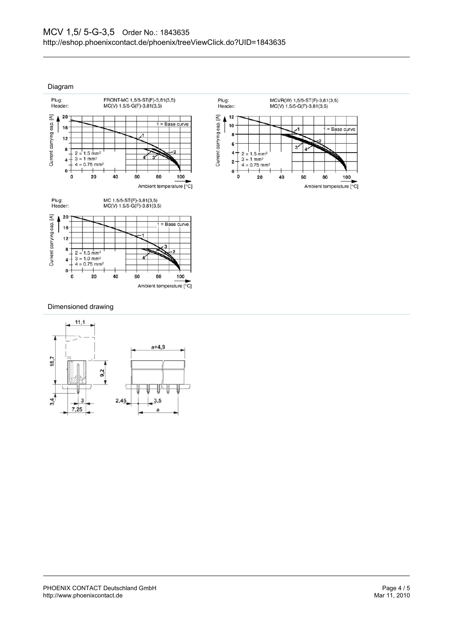Diagram



#### Dimensioned drawing